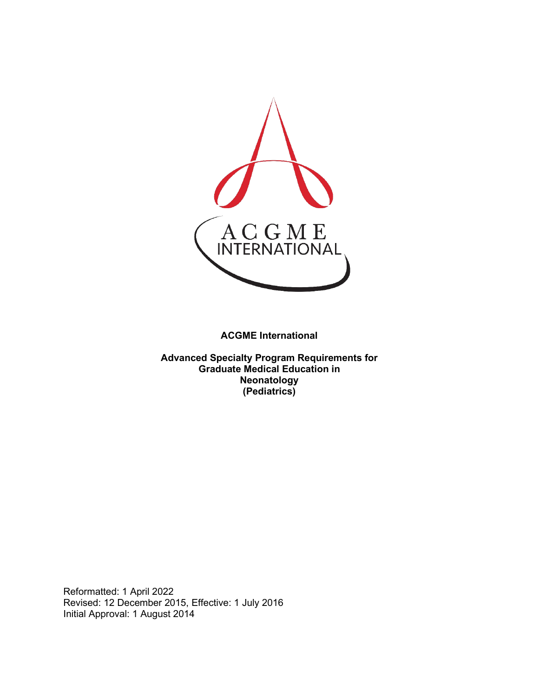

**ACGME International** 

**Advanced Specialty Program Requirements for Graduate Medical Education in Neonatology (Pediatrics)**

Reformatted: 1 April 2022 Revised: 12 December 2015, Effective: 1 July 2016 Initial Approval: 1 August 2014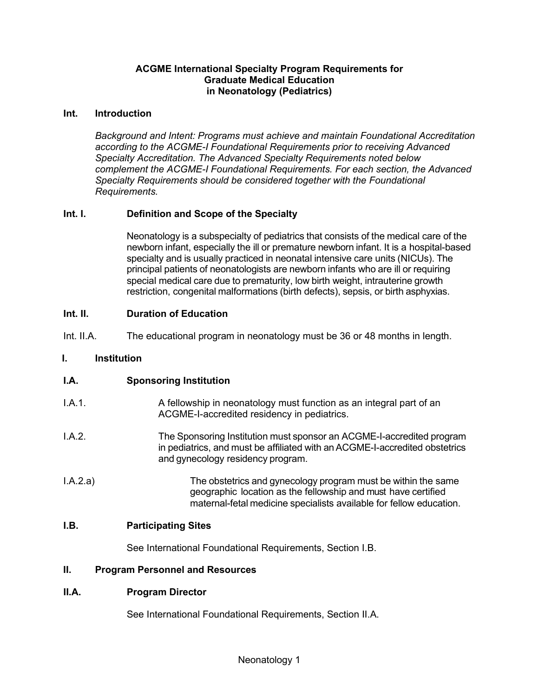#### **ACGME International Specialty Program Requirements for Graduate Medical Education in Neonatology (Pediatrics)**

#### **Int. Introduction**

*Background and Intent: Programs must achieve and maintain Foundational Accreditation according to the ACGME-I Foundational Requirements prior to receiving Advanced Specialty Accreditation. The Advanced Specialty Requirements noted below complement the ACGME-I Foundational Requirements. For each section, the Advanced Specialty Requirements should be considered together with the Foundational Requirements.*

## **Int. I. Definition and Scope of the Specialty**

Neonatology is a subspecialty of pediatrics that consists of the medical care of the newborn infant, especially the ill or premature newborn infant. It is a hospital-based specialty and is usually practiced in neonatal intensive care units (NICUs). The principal patients of neonatologists are newborn infants who are ill or requiring special medical care due to prematurity, low birth weight, intrauterine growth restriction, congenital malformations (birth defects), sepsis, or birth asphyxias.

### **Int. II. Duration of Education**

Int. II.A. The educational program in neonatology must be 36 or 48 months in length.

#### **I. Institution**

### **I.A. Sponsoring Institution**

| LA.1     | A fellowship in neonatology must function as an integral part of an<br>ACGME-I-accredited residency in pediatrics.                                                                                    |
|----------|-------------------------------------------------------------------------------------------------------------------------------------------------------------------------------------------------------|
| LA.2.    | The Sponsoring Institution must sponsor an ACGME-I-accredited program<br>in pediatrics, and must be affiliated with an ACGME-I-accredited obstetrics<br>and gynecology residency program.             |
| I.A.2.a) | The obstetrics and gynecology program must be within the same<br>geographic location as the fellowship and must have certified<br>maternal-fetal medicine specialists available for fellow education. |

## **I.B. Participating Sites**

See International Foundational Requirements, Section I.B.

### **II. Program Personnel and Resources**

### **II.A. Program Director**

See International Foundational Requirements, Section II.A.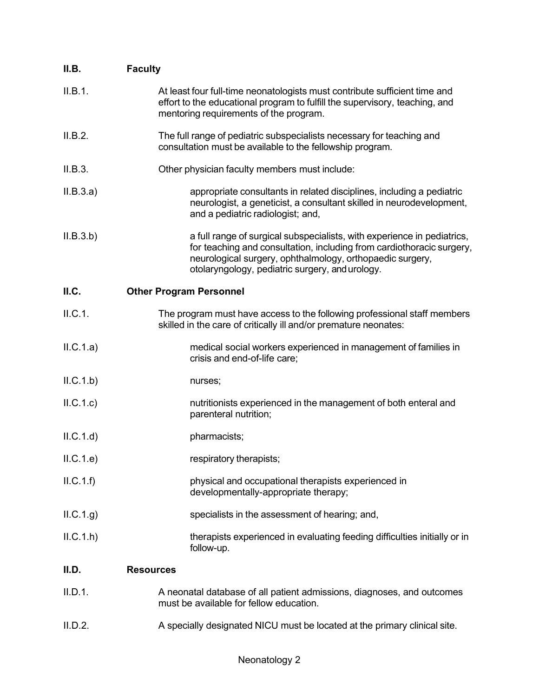| II.B.     | <b>Faculty</b>                                                                                                                                                                                                                                                   |
|-----------|------------------------------------------------------------------------------------------------------------------------------------------------------------------------------------------------------------------------------------------------------------------|
| II.B.1.   | At least four full-time neonatologists must contribute sufficient time and<br>effort to the educational program to fulfill the supervisory, teaching, and<br>mentoring requirements of the program.                                                              |
| II.B.2.   | The full range of pediatric subspecialists necessary for teaching and<br>consultation must be available to the fellowship program.                                                                                                                               |
| II.B.3.   | Other physician faculty members must include:                                                                                                                                                                                                                    |
| II.B.3.a) | appropriate consultants in related disciplines, including a pediatric<br>neurologist, a geneticist, a consultant skilled in neurodevelopment,<br>and a pediatric radiologist; and,                                                                               |
| II.B.3.b) | a full range of surgical subspecialists, with experience in pediatrics,<br>for teaching and consultation, including from cardiothoracic surgery,<br>neurological surgery, ophthalmology, orthopaedic surgery,<br>otolaryngology, pediatric surgery, and urology. |
| II.C.     | <b>Other Program Personnel</b>                                                                                                                                                                                                                                   |
| II.C.1.   | The program must have access to the following professional staff members<br>skilled in the care of critically ill and/or premature neonates:                                                                                                                     |
| ILC.1.a)  | medical social workers experienced in management of families in<br>crisis and end-of-life care;                                                                                                                                                                  |
| ILC.1.b)  | nurses;                                                                                                                                                                                                                                                          |
| ILC.1.c)  | nutritionists experienced in the management of both enteral and<br>parenteral nutrition;                                                                                                                                                                         |
| ILC.1.d)  | pharmacists;                                                                                                                                                                                                                                                     |
| ILC.1.e   | respiratory therapists;                                                                                                                                                                                                                                          |
| ILC.1.f)  | physical and occupational therapists experienced in<br>developmentally-appropriate therapy;                                                                                                                                                                      |
| ILC.1.g   | specialists in the assessment of hearing; and,                                                                                                                                                                                                                   |
| ILC.1.h   | therapists experienced in evaluating feeding difficulties initially or in<br>follow-up.                                                                                                                                                                          |
| II.D.     | <b>Resources</b>                                                                                                                                                                                                                                                 |
| II.D.1.   | A neonatal database of all patient admissions, diagnoses, and outcomes<br>must be available for fellow education.                                                                                                                                                |

II.D.2. A specially designated NICU must be located at the primary clinical site.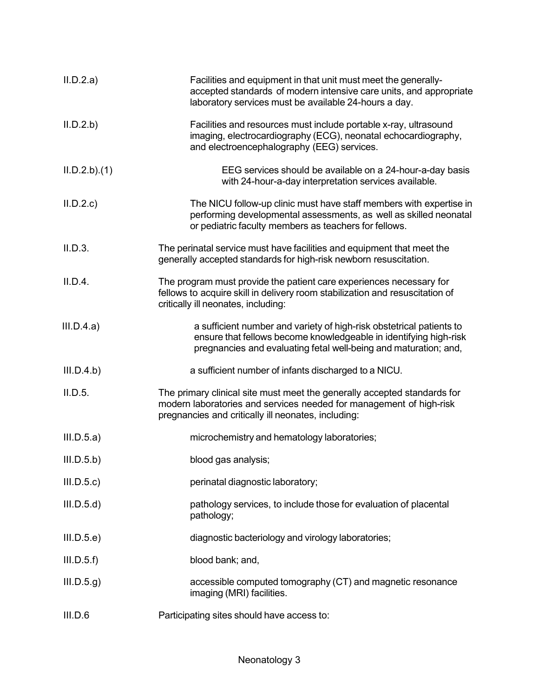| II.D.2.a)   | Facilities and equipment in that unit must meet the generally-<br>accepted standards of modern intensive care units, and appropriate<br>laboratory services must be available 24-hours a day.                 |
|-------------|---------------------------------------------------------------------------------------------------------------------------------------------------------------------------------------------------------------|
| II.D.2.b    | Facilities and resources must include portable x-ray, ultrasound<br>imaging, electrocardiography (ECG), neonatal echocardiography,<br>and electroencephalography (EEG) services.                              |
| ILD.2.b)(1) | EEG services should be available on a 24-hour-a-day basis<br>with 24-hour-a-day interpretation services available.                                                                                            |
| II.D.2.c    | The NICU follow-up clinic must have staff members with expertise in<br>performing developmental assessments, as well as skilled neonatal<br>or pediatric faculty members as teachers for fellows.             |
| II.D.3.     | The perinatal service must have facilities and equipment that meet the<br>generally accepted standards for high-risk newborn resuscitation.                                                                   |
| II.D.4.     | The program must provide the patient care experiences necessary for<br>fellows to acquire skill in delivery room stabilization and resuscitation of<br>critically ill neonates, including:                    |
| III.D.4.a)  | a sufficient number and variety of high-risk obstetrical patients to<br>ensure that fellows become knowledgeable in identifying high-risk<br>pregnancies and evaluating fetal well-being and maturation; and, |
| III.D.4.b)  | a sufficient number of infants discharged to a NICU.                                                                                                                                                          |
| II.D.5.     | The primary clinical site must meet the generally accepted standards for<br>modern laboratories and services needed for management of high-risk<br>pregnancies and critically ill neonates, including:        |
| III.D.5.a)  | microchemistry and hematology laboratories;                                                                                                                                                                   |
| III.D.5.b)  | blood gas analysis;                                                                                                                                                                                           |
| III.D.5.c   | perinatal diagnostic laboratory;                                                                                                                                                                              |
| III.D.5.d)  | pathology services, to include those for evaluation of placental<br>pathology;                                                                                                                                |
| III.D.5.e)  | diagnostic bacteriology and virology laboratories;                                                                                                                                                            |
| III.D.5.f   | blood bank; and,                                                                                                                                                                                              |
| III.D.5.g   | accessible computed tomography (CT) and magnetic resonance<br>imaging (MRI) facilities.                                                                                                                       |
| III.D.6     | Participating sites should have access to:                                                                                                                                                                    |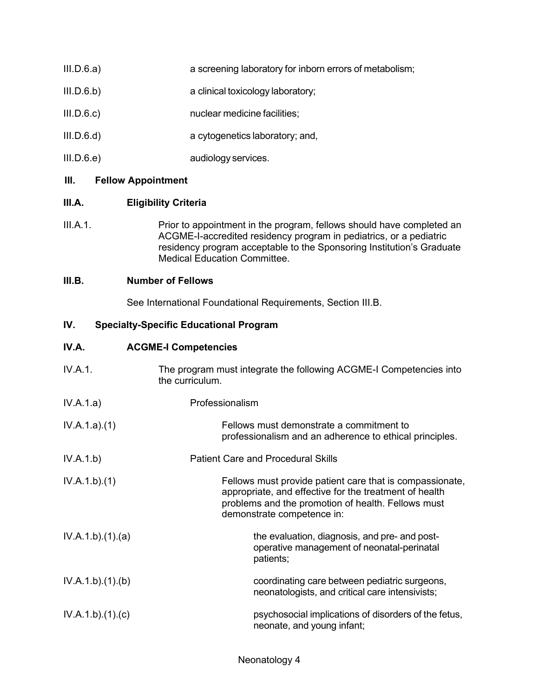- III.D.6.a) a screening laboratory for inborn errors of metabolism;
- III.D.6.b) a clinical toxicology laboratory;
- III.D.6.c) nuclear medicine facilities;
- III.D.6.d) a cytogenetics laboratory; and,
- III.D.6.e) audiology services.

## **III. Fellow Appointment**

## **III.A. Eligibility Criteria**

III.A.1. Prior to appointment in the program, fellows should have completed an ACGME-I-accredited residency program in pediatrics, or a pediatric residency program acceptable to the Sponsoring Institution's Graduate Medical Education Committee.

## **III.B. Number of Fellows**

See International Foundational Requirements, Section III.B.

## **IV. Specialty-Specific Educational Program**

## **IV.A. ACGME-I Competencies**

| IV.A.1.         | The program must integrate the following ACGME-I Competencies into<br>the curriculum.                                                                                                                  |
|-----------------|--------------------------------------------------------------------------------------------------------------------------------------------------------------------------------------------------------|
| IV.A.1.a)       | Professionalism                                                                                                                                                                                        |
| IV.A.1.a)(1)    | Fellows must demonstrate a commitment to<br>professionalism and an adherence to ethical principles.                                                                                                    |
| IV.A.1.b)       | <b>Patient Care and Procedural Skills</b>                                                                                                                                                              |
| IV.A.1.b)(1)    | Fellows must provide patient care that is compassionate,<br>appropriate, and effective for the treatment of health<br>problems and the promotion of health. Fellows must<br>demonstrate competence in: |
| IV.A.1.b)(1)(a) | the evaluation, diagnosis, and pre- and post-<br>operative management of neonatal-perinatal<br>patients;                                                                                               |
| IV.A.1.b)(1)(b) | coordinating care between pediatric surgeons,<br>neonatologists, and critical care intensivists;                                                                                                       |
| IV.A.1.b)(1)(c) | psychosocial implications of disorders of the fetus,<br>neonate, and young infant;                                                                                                                     |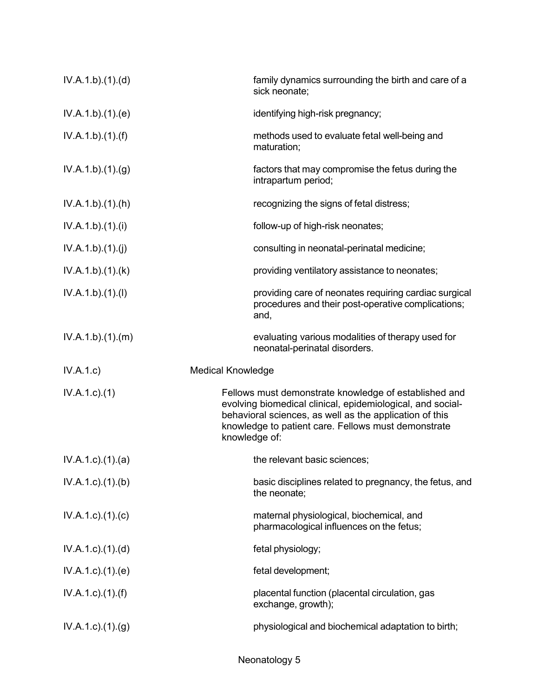| IV.A.1.b)(1)(d)           | family dynamics surrounding the birth and care of a<br>sick neonate;                                                                                                                                                                                   |
|---------------------------|--------------------------------------------------------------------------------------------------------------------------------------------------------------------------------------------------------------------------------------------------------|
| IV.A.1.b)(1)(e)           | identifying high-risk pregnancy;                                                                                                                                                                                                                       |
| IV.A.1.b)(1)(f)           | methods used to evaluate fetal well-being and<br>maturation;                                                                                                                                                                                           |
| IV.A.1.b)(1)(g)           | factors that may compromise the fetus during the<br>intrapartum period;                                                                                                                                                                                |
| IV.A.1.b)(1)(h)           | recognizing the signs of fetal distress;                                                                                                                                                                                                               |
| IV.A.1.b)(1)(i)           | follow-up of high-risk neonates;                                                                                                                                                                                                                       |
| IV.A.1.b)(1)(j)           | consulting in neonatal-perinatal medicine;                                                                                                                                                                                                             |
| IV.A.1.b)(1)(k)           | providing ventilatory assistance to neonates;                                                                                                                                                                                                          |
| IV.A.1.b)(1)(I)           | providing care of neonates requiring cardiac surgical<br>procedures and their post-operative complications;<br>and,                                                                                                                                    |
| IV.A.1.b)(1)(m)           | evaluating various modalities of therapy used for<br>neonatal-perinatal disorders.                                                                                                                                                                     |
|                           |                                                                                                                                                                                                                                                        |
| IV.A.1.c)                 | <b>Medical Knowledge</b>                                                                                                                                                                                                                               |
| IV.A.1.c.1(1)             | Fellows must demonstrate knowledge of established and<br>evolving biomedical clinical, epidemiological, and social-<br>behavioral sciences, as well as the application of this<br>knowledge to patient care. Fellows must demonstrate<br>knowledge of: |
| $IV.A.1.c$ . $(1).$ $(a)$ | the relevant basic sciences;                                                                                                                                                                                                                           |
| $IV.A.1.c$ . $(1).$ (b)   | basic disciplines related to pregnancy, the fetus, and<br>the neonate;                                                                                                                                                                                 |
| $IV.A.1.c$ ). $(1).$ (c)  | maternal physiological, biochemical, and<br>pharmacological influences on the fetus;                                                                                                                                                                   |
| $IV.A.1.c$ . $(1).$ $(d)$ | fetal physiology;                                                                                                                                                                                                                                      |
| $IV.A.1.c$ ). $(1).$ (e)  | fetal development;                                                                                                                                                                                                                                     |
| $IV.A.1.c$ ). $(1).(f)$   | placental function (placental circulation, gas<br>exchange, growth);                                                                                                                                                                                   |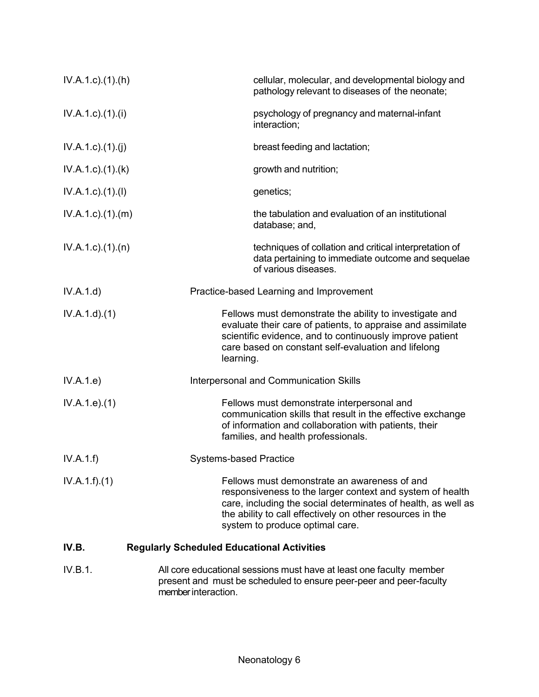| $IV.A.1.c$ . $(1).(h)$      | cellular, molecular, and developmental biology and<br>pathology relevant to diseases of the neonate;                                                                                                                                                                       |
|-----------------------------|----------------------------------------------------------------------------------------------------------------------------------------------------------------------------------------------------------------------------------------------------------------------------|
| IV.A.1.c)(1).(i)            | psychology of pregnancy and maternal-infant<br>interaction;                                                                                                                                                                                                                |
| IV.A.1.c)(1)(j)             | breast feeding and lactation;                                                                                                                                                                                                                                              |
| $IV.A.1.c$ . $(1).$ $(k)$   | growth and nutrition;                                                                                                                                                                                                                                                      |
| $IV.A.1.c$ ). $(1)$ . $(1)$ | genetics;                                                                                                                                                                                                                                                                  |
| $IV.A.1.c$ . $(1).$ (m)     | the tabulation and evaluation of an institutional<br>database; and,                                                                                                                                                                                                        |
| $IV.A.1.c$ . $(1).$ $(n)$   | techniques of collation and critical interpretation of<br>data pertaining to immediate outcome and sequelae<br>of various diseases.                                                                                                                                        |
| IV.A.1.d)                   | Practice-based Learning and Improvement                                                                                                                                                                                                                                    |
| IV.A.1.d)(1)                | Fellows must demonstrate the ability to investigate and<br>evaluate their care of patients, to appraise and assimilate<br>scientific evidence, and to continuously improve patient<br>care based on constant self-evaluation and lifelong<br>learning.                     |
| IV.A.1.e)                   | Interpersonal and Communication Skills                                                                                                                                                                                                                                     |
| IV.A.1.e. (1)               | Fellows must demonstrate interpersonal and<br>communication skills that result in the effective exchange<br>of information and collaboration with patients, their<br>families, and health professionals.                                                                   |
| IV.A.1.f)                   | <b>Systems-based Practice</b>                                                                                                                                                                                                                                              |
| IV.A.1.f)(1)                | Fellows must demonstrate an awareness of and<br>responsiveness to the larger context and system of health<br>care, including the social determinates of health, as well as<br>the ability to call effectively on other resources in the<br>system to produce optimal care. |
| IV.B.                       | <b>Regularly Scheduled Educational Activities</b>                                                                                                                                                                                                                          |
| IV.B.1.                     | All core educational sessions must have at least one faculty member<br>ant and must be separated to encure near near and near                                                                                                                                              |

present and must be scheduled to ensure peer-peer and peer-faculty member interaction.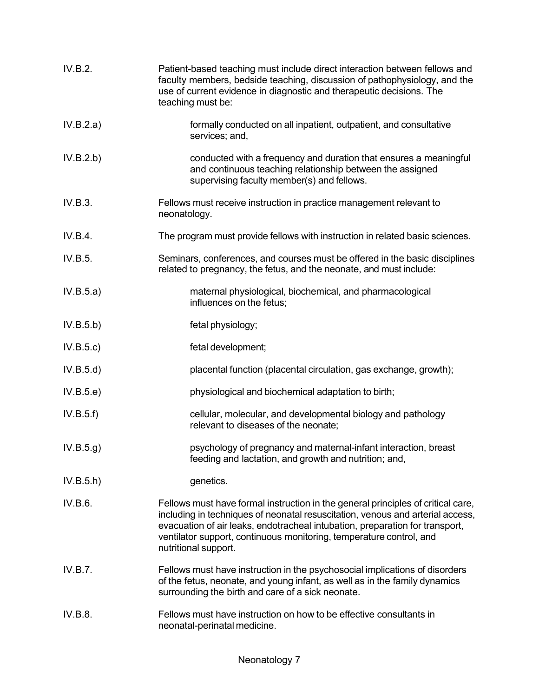| IV.B.2.   | Patient-based teaching must include direct interaction between fellows and<br>faculty members, bedside teaching, discussion of pathophysiology, and the<br>use of current evidence in diagnostic and therapeutic decisions. The<br>teaching must be:                                                                                              |
|-----------|---------------------------------------------------------------------------------------------------------------------------------------------------------------------------------------------------------------------------------------------------------------------------------------------------------------------------------------------------|
| IV.B.2.a) | formally conducted on all inpatient, outpatient, and consultative<br>services; and,                                                                                                                                                                                                                                                               |
| IV.B.2.b) | conducted with a frequency and duration that ensures a meaningful<br>and continuous teaching relationship between the assigned<br>supervising faculty member(s) and fellows.                                                                                                                                                                      |
| IV.B.3.   | Fellows must receive instruction in practice management relevant to<br>neonatology.                                                                                                                                                                                                                                                               |
| IV.B.4.   | The program must provide fellows with instruction in related basic sciences.                                                                                                                                                                                                                                                                      |
| IV.B.5.   | Seminars, conferences, and courses must be offered in the basic disciplines<br>related to pregnancy, the fetus, and the neonate, and must include:                                                                                                                                                                                                |
| IV.B.5.a) | maternal physiological, biochemical, and pharmacological<br>influences on the fetus;                                                                                                                                                                                                                                                              |
| IV.B.5.b) | fetal physiology;                                                                                                                                                                                                                                                                                                                                 |
| IV.B.5.c) | fetal development;                                                                                                                                                                                                                                                                                                                                |
| IV.B.5.d) | placental function (placental circulation, gas exchange, growth);                                                                                                                                                                                                                                                                                 |
| IV.B.5.e) | physiological and biochemical adaptation to birth;                                                                                                                                                                                                                                                                                                |
| IV.B.5.f) | cellular, molecular, and developmental biology and pathology<br>relevant to diseases of the neonate;                                                                                                                                                                                                                                              |
| IV.B.5.g) | psychology of pregnancy and maternal-infant interaction, breast<br>feeding and lactation, and growth and nutrition; and,                                                                                                                                                                                                                          |
| IV.B.5.h  | genetics.                                                                                                                                                                                                                                                                                                                                         |
| IV.B.6.   | Fellows must have formal instruction in the general principles of critical care,<br>including in techniques of neonatal resuscitation, venous and arterial access,<br>evacuation of air leaks, endotracheal intubation, preparation for transport,<br>ventilator support, continuous monitoring, temperature control, and<br>nutritional support. |
| IV.B.7.   | Fellows must have instruction in the psychosocial implications of disorders<br>of the fetus, neonate, and young infant, as well as in the family dynamics<br>surrounding the birth and care of a sick neonate.                                                                                                                                    |
| IV.B.8.   | Fellows must have instruction on how to be effective consultants in<br>neonatal-perinatal medicine.                                                                                                                                                                                                                                               |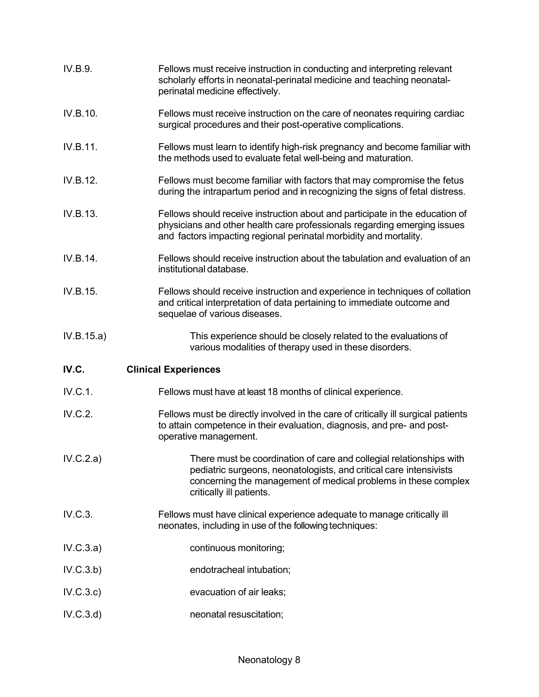| IV.B.9.    | Fellows must receive instruction in conducting and interpreting relevant<br>scholarly efforts in neonatal-perinatal medicine and teaching neonatal-<br>perinatal medicine effectively.                                                  |
|------------|-----------------------------------------------------------------------------------------------------------------------------------------------------------------------------------------------------------------------------------------|
| IV.B.10.   | Fellows must receive instruction on the care of neonates requiring cardiac<br>surgical procedures and their post-operative complications.                                                                                               |
| IV.B.11.   | Fellows must learn to identify high-risk pregnancy and become familiar with<br>the methods used to evaluate fetal well-being and maturation.                                                                                            |
| IV.B.12.   | Fellows must become familiar with factors that may compromise the fetus<br>during the intrapartum period and in recognizing the signs of fetal distress.                                                                                |
| IV.B.13.   | Fellows should receive instruction about and participate in the education of<br>physicians and other health care professionals regarding emerging issues<br>and factors impacting regional perinatal morbidity and mortality.           |
| IV.B.14.   | Fellows should receive instruction about the tabulation and evaluation of an<br>institutional database.                                                                                                                                 |
| IV.B.15.   | Fellows should receive instruction and experience in techniques of collation<br>and critical interpretation of data pertaining to immediate outcome and<br>sequelae of various diseases.                                                |
|            |                                                                                                                                                                                                                                         |
| IV.B.15.a) | This experience should be closely related to the evaluations of<br>various modalities of therapy used in these disorders.                                                                                                               |
| IV.C.      | <b>Clinical Experiences</b>                                                                                                                                                                                                             |
| IV.C.1.    | Fellows must have at least 18 months of clinical experience.                                                                                                                                                                            |
| IV.C.2.    | Fellows must be directly involved in the care of critically ill surgical patients<br>to attain competence in their evaluation, diagnosis, and pre- and post-<br>operative management.                                                   |
| IV.C.2.a)  | There must be coordination of care and collegial relationships with<br>pediatric surgeons, neonatologists, and critical care intensivists<br>concerning the management of medical problems in these complex<br>critically ill patients. |
| IV.C.3.    | Fellows must have clinical experience adequate to manage critically ill<br>neonates, including in use of the following techniques:                                                                                                      |
| IV.C.3.a)  | continuous monitoring;                                                                                                                                                                                                                  |
| IV.C.3.b)  | endotracheal intubation;                                                                                                                                                                                                                |
| IV.C.3.c)  | evacuation of air leaks;                                                                                                                                                                                                                |